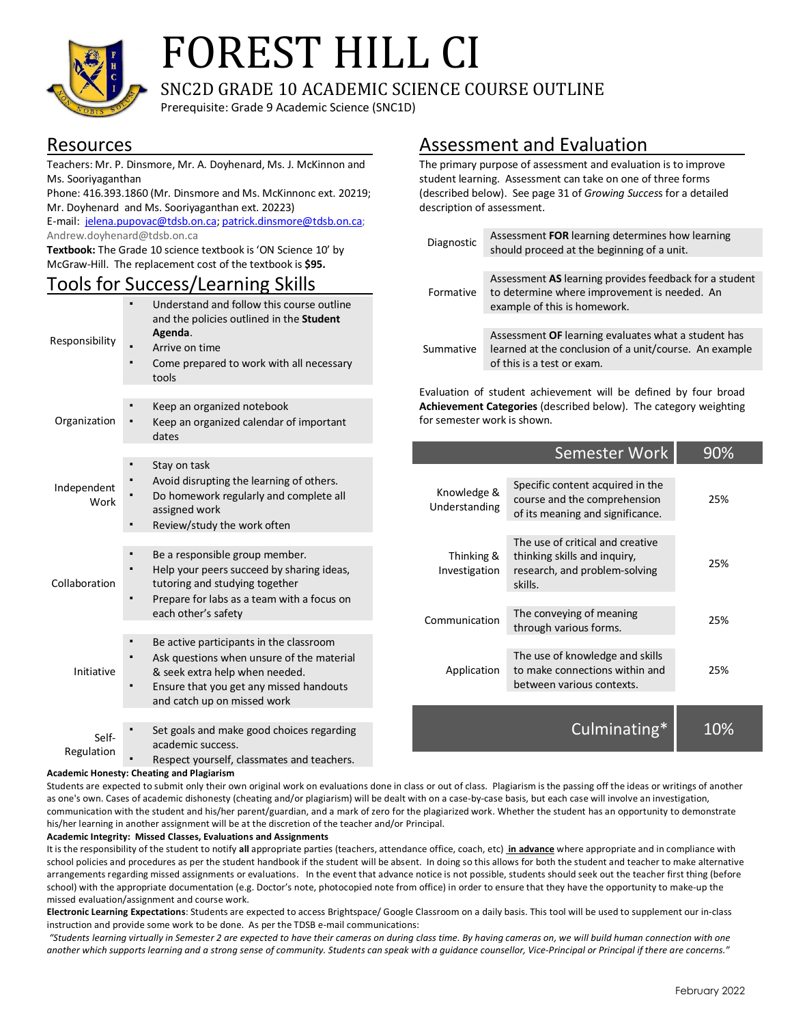

# FOREST HILL CI

SNC2D GRADE 10 ACADEMIC SCIENCE COURSE OUTLINE

Prerequisite: Grade 9 Academic Science (SNC1D)

### Resources

Teachers: Mr. P. Dinsmore, Mr. A. Doyhenard, Ms. J. McKinnon and Ms. Sooriyaganthan

Phone: 416.393.1860 (Mr. Dinsmore and Ms. McKinnonc ext. 20219; Mr. Doyhenard and Ms. Sooriyaganthan ext. 20223)

E-mail: jelena.pupovac@tdsb.on.ca; patrick.dinsmore@tdsb.on.ca; Andrew.doyhenard@tdsb.on.ca

**Textbook:** The Grade 10 science textbook is 'ON Science 10' by McGraw-Hill. The replacement cost of the textbook is **\$95.**

## Tools for Success/Learning Skills

| Responsibility      | Understand and follow this course outline<br>and the policies outlined in the Student<br>Agenda.<br>Arrive on time<br>Come prepared to work with all necessary<br>tools                          |  |  |  |
|---------------------|--------------------------------------------------------------------------------------------------------------------------------------------------------------------------------------------------|--|--|--|
|                     |                                                                                                                                                                                                  |  |  |  |
| Organization        | Keep an organized notebook<br>Keep an organized calendar of important<br>dates                                                                                                                   |  |  |  |
|                     |                                                                                                                                                                                                  |  |  |  |
| Independent<br>Work | Stay on task<br>Avoid disrupting the learning of others.<br>Do homework regularly and complete all<br>assigned work<br>Review/study the work often                                               |  |  |  |
|                     |                                                                                                                                                                                                  |  |  |  |
| Collaboration       | Be a responsible group member.<br>Help your peers succeed by sharing ideas,<br>tutoring and studying together<br>Prepare for labs as a team with a focus on<br>each other's safety               |  |  |  |
|                     |                                                                                                                                                                                                  |  |  |  |
| Initiative          | Be active participants in the classroom<br>Ask questions when unsure of the material<br>& seek extra help when needed.<br>Ensure that you get any missed handouts<br>and catch up on missed work |  |  |  |
|                     |                                                                                                                                                                                                  |  |  |  |
| Self-<br>Regulation | Set goals and make good choices regarding<br>academic success.                                                                                                                                   |  |  |  |

Respect yourself, classmates and teachers.

#### **Academic Honesty: Cheating and Plagiarism**

Students are expected to submit only their own original work on evaluations done in class or out of class. Plagiarism is the passing off the ideas or writings of another as one's own. Cases of academic dishonesty (cheating and/or plagiarism) will be dealt with on a case-by-case basis, but each case will involve an investigation, communication with the student and his/her parent/guardian, and a mark of zero for the plagiarized work. Whether the student has an opportunity to demonstrate his/her learning in another assignment will be at the discretion of the teacher and/or Principal.

#### **Academic Integrity: Missed Classes, Evaluations and Assignments**

It is the responsibility of the student to notify **all** appropriate parties (teachers, attendance office, coach, etc) **in advance** where appropriate and in compliance with school policies and procedures as per the student handbook if the student will be absent. In doing so this allows for both the student and teacher to make alternative arrangements regarding missed assignments or evaluations. In the event that advance notice is not possible, students should seek out the teacher first thing (before school) with the appropriate documentation (e.g. Doctor's note, photocopied note from office) in order to ensure that they have the opportunity to make-up the missed evaluation/assignment and course work.

**Electronic Learning Expectations**: Students are expected to access Brightspace/ Google Classroom on a daily basis. This tool will be used to supplement our in-class instruction and provide some work to be done. As per the TDSB e-mail communications:

*"Students learning virtually in Semester 2 are expected to have their cameras on during class time. By having cameras on, we will build human connection with one*  another which supports learning and a strong sense of community. Students can speak with a guidance counsellor, Vice-Principal or Principal if there are concerns."

## Assessment and Evaluation

The primary purpose of assessment and evaluation is to improve student learning. Assessment can take on one of three forms (described below). See page 31 of *Growing Succes*s for a detailed description of assessment.

| Diagnostic | Assessment FOR learning determines how learning<br>should proceed at the beginning of a unit.                                               |
|------------|---------------------------------------------------------------------------------------------------------------------------------------------|
| Formative  | Assessment AS learning provides feedback for a student                                                                                      |
|            | to determine where improvement is needed. An<br>example of this is homework.                                                                |
|            |                                                                                                                                             |
| Summative  | Assessment OF learning evaluates what a student has<br>learned at the conclusion of a unit/course. An example<br>of this is a test or exam. |

Evaluation of student achievement will be defined by four broad **Achievement Categories** (described below). The category weighting for semester work is shown.

|                              | Semester Work                                                                                                | 90% |
|------------------------------|--------------------------------------------------------------------------------------------------------------|-----|
| Knowledge &<br>Understanding | Specific content acquired in the<br>course and the comprehension<br>of its meaning and significance.         | 25% |
| Thinking &<br>Investigation  | The use of critical and creative<br>thinking skills and inquiry,<br>research, and problem-solving<br>skills. | 25% |
| Communication                | The conveying of meaning<br>through various forms.                                                           | 25% |
| Application                  | The use of knowledge and skills<br>to make connections within and<br>between various contexts.               | 25% |
|                              | Culminating*                                                                                                 |     |